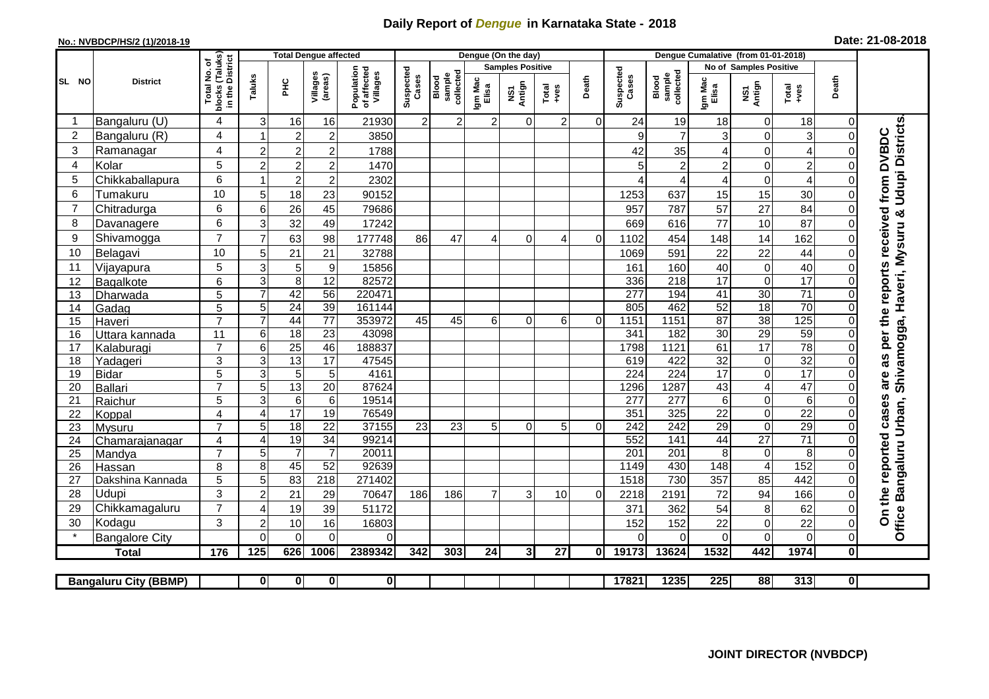## **Daily Report of** *Dengue* **in Karnataka State - 2018**

## **No.: NVBDCP/HS/2 (1)/2018-19**

| Date: 21-08-2018 |  |  |  |  |
|------------------|--|--|--|--|
|------------------|--|--|--|--|

|                |                              | (Taluks)<br>District             |                                  |                      | <b>Total Dengue affected</b>      |                                       |                    |                             | Dengue (On the day) |                |                 |                               |                    |                              |                      |                            |                      |              |                                                                               |
|----------------|------------------------------|----------------------------------|----------------------------------|----------------------|-----------------------------------|---------------------------------------|--------------------|-----------------------------|---------------------|----------------|-----------------|-------------------------------|--------------------|------------------------------|----------------------|----------------------------|----------------------|--------------|-------------------------------------------------------------------------------|
| đ              |                              |                                  |                                  |                      |                                   |                                       |                    | <b>Samples Positive</b>     |                     |                |                 | <b>No of Samples Positive</b> |                    |                              |                      |                            |                      |              |                                                                               |
| SL NO          | <b>District</b>              | Total No.<br>blocks<br>in the    | Taluks                           | <b>PHC</b>           | Villages<br>(areas)               | Population<br>of affected<br>Villages | Suspected<br>Cases | sample<br>collecte<br>Blood | Igm Mac<br>Elisa    | NS1<br>Antign  | Total<br>+ves   | Death                         | Suspected<br>Cases | collected<br>sample<br>Blood | Igm Mac<br>Elisa     | NS1<br>Antign              | Total<br>$-ves$      | Death        |                                                                               |
|                | Bangaluru (U)                | $\overline{4}$                   | 3                                | 16                   | 16                                | 21930                                 | $\overline{2}$     | $2 \vert$                   | $\overline{2}$      | 0              | 2               | $\Omega$                      | 24                 | 19                           | 18                   | $\mathbf 0$                | 18                   | $\Omega$     |                                                                               |
| $\overline{c}$ | Bangaluru (R)                | $\overline{4}$                   |                                  | $\overline{c}$       | $\sqrt{2}$                        | 3850                                  |                    |                             |                     |                |                 |                               | 9                  | $\overline{7}$               | 3                    | $\mathbf 0$                | 3                    | $\Omega$     |                                                                               |
| 3              | Ramanagar                    | 4                                | $\overline{2}$                   | $\overline{c}$       | $\overline{c}$                    | 1788                                  |                    |                             |                     |                |                 |                               | 42                 | 35                           | 4                    | $\mathbf 0$                | 4                    |              | <b>Udupi Districts</b><br>are as per the reports received from DVBDC          |
| 4              | Kolar                        | 5                                | $\overline{2}$                   | $\overline{2}$       | $\overline{c}$                    | 1470                                  |                    |                             |                     |                |                 |                               | 5                  | $\mathbf 2$                  | $\overline{c}$       | $\boldsymbol{0}$           | $\overline{c}$       | $\Omega$     |                                                                               |
| 5              | Chikkaballapura              | 6                                |                                  | $\overline{c}$       | $\overline{2}$                    | 2302                                  |                    |                             |                     |                |                 |                               |                    | 4                            | 4                    | $\boldsymbol{0}$           | $\overline{A}$       | ∩            |                                                                               |
| 6              | Tumakuru                     | 10                               | 5                                | 18                   | 23                                | 90152                                 |                    |                             |                     |                |                 |                               | 1253               | 637                          | 15                   | 15                         | 30                   | $\Omega$     |                                                                               |
| 7              | Chitradurga                  | 6                                | $6\phantom{1}6$                  | $\overline{26}$      | 45                                | 79686                                 |                    |                             |                     |                |                 |                               | 957                | 787                          | 57                   | $\overline{27}$            | 84                   | $\Omega$     |                                                                               |
| 8              | Davanagere                   | 6                                | 3                                | 32                   | 49                                | 17242                                 |                    |                             |                     |                |                 |                               | 669                | 616                          | 77                   | 10                         | 87                   | $\Omega$     |                                                                               |
| 9              | Shivamogga                   | $\overline{7}$                   | $\overline{7}$                   | 63                   | 98                                | 177748                                | 86                 | 47                          | $\overline{4}$      | $\Omega$       | 4               | $\Omega$                      | 1102               | 454                          | 148                  | 14                         | 162                  | $\Omega$     |                                                                               |
| 10             | Belagavi                     | 10                               | 5                                | 21                   | 21                                | 32788                                 |                    |                             |                     |                |                 |                               | 1069               | 591                          | 22                   | 22                         | 44                   | $\Omega$     |                                                                               |
| 11             | Vijayapura                   | 5                                | 3                                | 5                    | 9                                 | 15856                                 |                    |                             |                     |                |                 |                               | 161                | 160                          | 40                   | $\boldsymbol{0}$           | 40                   | ∩            |                                                                               |
| 12             | Bagalkote                    | 6                                | 3                                | 8                    | 12                                | 82572                                 |                    |                             |                     |                |                 |                               | 336                | 218                          | 17                   | $\pmb{0}$                  | $\overline{17}$      | ∩            |                                                                               |
| 13             | Dharwada                     | $\overline{5}$                   | $\overline{7}$                   | 42                   | 56                                | 220471                                |                    |                             |                     |                |                 |                               | $\overline{277}$   | 194                          | 41                   | 30                         | $\overline{71}$      | $\Omega$     |                                                                               |
| 14             | Gadag                        | 5                                | 5                                | $\overline{24}$      | 39                                | 161144                                |                    |                             |                     |                |                 |                               | 805                | 462                          | 52                   | 18                         | 70                   | $\Omega$     |                                                                               |
| 15             | Haveri                       | $\overline{7}$                   | $\overline{7}$                   | 44                   | 77                                | 353972                                | 45                 | 45                          | $6 \mid$            | $\Omega$       | 6               | $\Omega$                      | 1151               | 1151                         | 87                   | 38                         | 125                  | $\Omega$     |                                                                               |
| 16             | Uttara kannada               | 11                               | $6\phantom{1}6$                  | 18                   | $\overline{23}$                   | 43098                                 |                    |                             |                     |                |                 |                               | 341                | 182                          | 30                   | 29                         | 59                   | $\Omega$     |                                                                               |
| 17             | Kalaburagi                   | $\overline{7}$                   | 6                                | $\overline{25}$      | 46                                | 188837                                |                    |                             |                     |                |                 |                               | 1798               | 1121                         | 61                   | $\overline{17}$            | 78                   | $\Omega$     |                                                                               |
| 18             | Yadageri                     | 3                                | 3                                | 13                   | 17                                | 47545                                 |                    |                             |                     |                |                 |                               | 619                | 422                          | $\overline{32}$      | $\pmb{0}$                  | $\overline{32}$      |              |                                                                               |
| 19             | <b>Bidar</b>                 | $\overline{5}$<br>$\overline{7}$ | 3                                | $\overline{5}$       | $\overline{5}$                    | 4161                                  |                    |                             |                     |                |                 |                               | 224                | 224                          | $\overline{17}$      | $\overline{0}$             | $\overline{17}$      |              |                                                                               |
| 20             | Ballari                      | $\overline{5}$                   | $\overline{5}$<br>$\overline{3}$ | 13<br>$\overline{6}$ | $\overline{20}$<br>$\overline{6}$ | 87624<br>19514                        |                    |                             |                     |                |                 |                               | 1296               | 1287<br>277                  | 43                   | $\overline{4}$             | 47<br>$\overline{6}$ | $\Omega$     |                                                                               |
| 21<br>22       | Raichur<br>Koppal            | $\overline{4}$                   | $\overline{4}$                   | $\overline{17}$      | 19                                | 76549                                 |                    |                             |                     |                |                 |                               | 277<br>351         | 325                          | 6<br>$\overline{22}$ | $\mathbf 0$<br>$\mathbf 0$ | $\overline{22}$      |              |                                                                               |
| 23             | Mysuru                       | $\overline{7}$                   | 5                                | $\overline{18}$      | $\overline{22}$                   | 37155                                 | 23                 | 23                          | 5 <sup>1</sup>      | $\Omega$       | 5               | $\Omega$                      | 242                | 242                          | $\overline{29}$      | $\boldsymbol{0}$           | 29                   | $\Omega$     |                                                                               |
| 24             | Chamarajanagar               | 4                                | 4                                | 19                   | $\overline{34}$                   | 99214                                 |                    |                             |                     |                |                 |                               | 552                | 141                          | 44                   | 27                         | $\overline{71}$      | ∩            |                                                                               |
| 25             | Mandya                       | $\overline{7}$                   | 5                                | $\overline{7}$       | $\overline{7}$                    | 20011                                 |                    |                             |                     |                |                 |                               | $\overline{201}$   | $\overline{201}$             | 8                    | $\mathbf 0$                | 8                    |              |                                                                               |
| 26             | Hassan                       | 8                                | 8                                | 45                   | 52                                | 92639                                 |                    |                             |                     |                |                 |                               | 1149               | 430                          | $\overline{148}$     | $\overline{4}$             | 152                  | $\mathbf{0}$ |                                                                               |
| 27             | Dakshina Kannada             | 5                                | 5                                | 83                   | $\overline{218}$                  | 271402                                |                    |                             |                     |                |                 |                               | 1518               | 730                          | $\overline{357}$     | 85                         | 442                  | $\Omega$     |                                                                               |
| 28             | Udupi                        | 3                                | $\overline{c}$                   | 21                   | 29                                | 70647                                 | 186                | 186                         | $\overline{7}$      | 3              | 10              | $\Omega$                      | 2218               | 2191                         | 72                   | 94                         | 166                  |              |                                                                               |
| 29             | Chikkamagaluru               | $\overline{7}$                   | $\overline{4}$                   | 19                   | 39                                | 51172                                 |                    |                             |                     |                |                 |                               | 371                | 362                          | 54                   | 8                          | 62                   | $\Omega$     | Office Bangaluru Urban, Shivamogga, Haveri, Mysuru &<br>On the reported cases |
| 30             | Kodagu                       | 3                                | $\overline{c}$                   | 10                   | 16                                | 16803                                 |                    |                             |                     |                |                 |                               | 152                | 152                          | 22                   | $\mathbf 0$                | 22                   | $\Omega$     |                                                                               |
|                | <b>Bangalore City</b>        |                                  | $\Omega$                         | $\mathbf 0$          | $\overline{0}$                    | 0                                     |                    |                             |                     |                |                 |                               |                    | $\Omega$                     | $\mathbf 0$          | $\overline{0}$             | $\mathbf 0$          | 0            |                                                                               |
|                | <b>Total</b>                 | 176                              | 125                              | 626                  | 1006                              | 2389342                               | 342                | 303                         | 24                  | 3 <sup>1</sup> | $\overline{27}$ | 0                             | 19173              | 13624                        | 1532                 | 442                        | 1974                 | $\mathbf{0}$ |                                                                               |
|                |                              |                                  |                                  |                      |                                   |                                       |                    |                             |                     |                |                 |                               |                    |                              |                      |                            |                      |              |                                                                               |
|                | <b>Bangaluru City (BBMP)</b> |                                  | $\mathbf 0$                      | $\mathbf{0}$         | 0                                 | 0                                     |                    |                             |                     |                |                 |                               | 17821              | 1235                         | 225                  | 88                         | 313                  | 0l           |                                                                               |